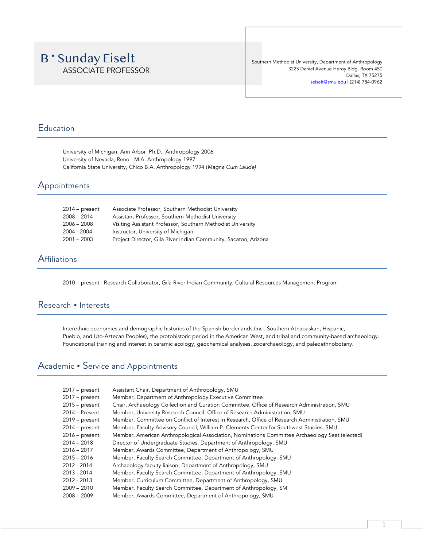# **B** 'Sunday Eiselt ASSOCIATE PROFESSOR

Southern Methodist University, Department of Anthropology 3225 Daniel Avenue Heroy Bldg. Room 450 Dallas, TX 75275 seiselt@smu.edu | (214) 784-0962

## Education

University of Michigan, Ann Arbor Ph.D., Anthropology 2006 University of Nevada, Reno M.A. Anthropology 1997 California State University, Chico B.A. Anthropology 1994 (*Magna Cum Laude)*

## Appointments

| 2014 – present | Associate Professor, Southern Methodist University              |
|----------------|-----------------------------------------------------------------|
| 2008 – 2014    | Assistant Professor, Southern Methodist University              |
| 2006 – 2008    | Visiting Assistant Professor, Southern Methodist University     |
| 2004 - 2004    | Instructor, University of Michigan                              |
| 2001 – 2003    | Project Director, Gila River Indian Community, Sacaton, Arizona |
|                |                                                                 |

## **Affiliations**

2010 – present Research Collaborator, Gila River Indian Community, Cultural Resources Management Program

## Research • Interests

Interethnic economies and demographic histories of the Spanish borderlands (incl. Southern Athapaskan, Hispanic, Pueblo, and Uto-Aztecan Peoples), the protohistoric period in the American West, and tribal and community-based archaeology. Foundational training and interest in ceramic ecology, geochemical analyses, zooarchaeology, and paleoethnobotany.

## Academic • Service and Appointments

| $2017 - present$ | Assistant Chair, Department of Anthropology, SMU                                               |
|------------------|------------------------------------------------------------------------------------------------|
| $2017$ – present | Member, Department of Anthropology Executive Committee                                         |
| $2015 - present$ | Chair, Archaeology Collection and Curation Committee, Office of Research Administration, SMU   |
| $2014 -$ Present | Member, University Research Council, Office of Research Administration, SMU                    |
| $2019$ – present | Member, Committee on Conflict of Interest in Research, Office of Research Administration, SMU  |
| $2014$ – present | Member, Faculty Advisory Council, William P. Clements Center for Southwest Studies, SMU        |
| $2016$ – present | Member, American Anthropological Association, Nominations Committee Archaeology Seat (elected) |
| $2014 - 2018$    | Director of Undergraduate Studies, Department of Anthropology, SMU                             |
| $2016 - 2017$    | Member, Awards Committee, Department of Anthropology, SMU                                      |
| $2015 - 2016$    | Member, Faculty Search Committee, Department of Anthropology, SMU                              |
| 2012 - 2014      | Archaeology faculty liaison, Department of Anthropology, SMU                                   |
| 2013 - 2014      | Member, Faculty Search Committee, Department of Anthropology, SMU                              |
| 2012 - 2013      | Member, Curriculum Committee, Department of Anthropology, SMU                                  |
| $2009 - 2010$    | Member, Faculty Search Committee, Department of Anthropology, SM                               |
| $2008 - 2009$    | Member, Awards Committee, Department of Anthropology, SMU                                      |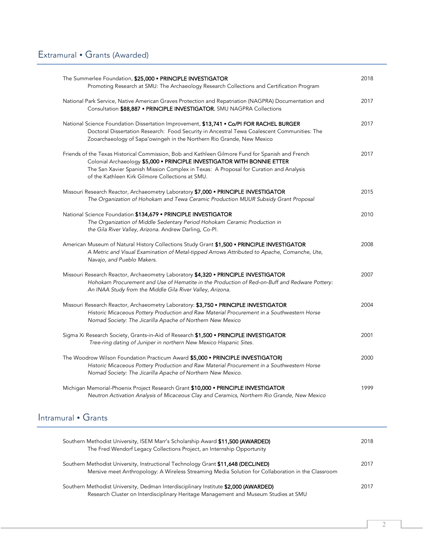| The Summerlee Foundation, \$25,000 . PRINCIPLE INVESTIGATOR<br>Promoting Research at SMU: The Archaeology Research Collections and Certification Program                                                                                                                                                                 | 2018 |
|--------------------------------------------------------------------------------------------------------------------------------------------------------------------------------------------------------------------------------------------------------------------------------------------------------------------------|------|
| National Park Service, Native American Graves Protection and Repatriation (NAGPRA) Documentation and<br>Consultation \$88,887 . PRINCIPLE INVESTIGATOR. SMU NAGPRA Collections                                                                                                                                           | 2017 |
| National Science Foundation Dissertation Improvement, \$13,741 . Co/PI FOR RACHEL BURGER<br>Doctoral Dissertation Research: Food Security in Ancestral Tewa Coalescent Communities: The<br>Zooarchaeology of Sapa'owingeh in the Northern Rio Grande, New Mexico                                                         | 2017 |
| Friends of the Texas Historical Commission, Bob and Kathleen Gilmore Fund for Spanish and French<br>Colonial Archaeology \$5,000 · PRINCIPLE INVESTIGATOR WITH BONNIE ETTER<br>The San Xavier Spanish Mission Complex in Texas: A Proposal for Curation and Analysis<br>of the Kathleen Kirk Gilmore Collections at SMU. | 2017 |
| Missouri Research Reactor, Archaeometry Laboratory \$7,000 . PRINCIPLE INVESTIGATOR<br>The Organization of Hohokam and Tewa Ceramic Production MUUR Subsidy Grant Proposal                                                                                                                                               | 2015 |
| National Science Foundation \$134,679 . PRINCIPLE INVESTIGATOR<br>The Organization of Middle Sedentary Period Hohokam Ceramic Production in<br>the Gila River Valley, Arizona. Andrew Darling, Co-Pl.                                                                                                                    | 2010 |
| American Museum of Natural History Collections Study Grant \$1,500 . PRINCIPLE INVESTIGATOR<br>A Metric and Visual Examination of Metal-tipped Arrows Attributed to Apache, Comanche, Ute,<br>Navajo, and Pueblo Makers.                                                                                                 | 2008 |
| Missouri Research Reactor, Archaeometry Laboratory \$4,320 . PRINCIPLE INVESTIGATOR<br>Hohokam Procurement and Use of Hematite in the Production of Red-on-Buff and Redware Pottery:<br>An INAA Study from the Middle Gila River Valley, Arizona.                                                                        | 2007 |
| Missouri Research Reactor, Archaeometry Laboratory: \$3,750 · PRINCIPLE INVESTIGATOR<br>Historic Micaceous Pottery Production and Raw Material Procurement in a Southwestern Horse<br>Nomad Society: The Jicarilla Apache of Northern New Mexico                                                                         | 2004 |
| Sigma Xi Research Society, Grants-in-Aid of Research \$1,500 · PRINCIPLE INVESTIGATOR<br>Tree-ring dating of Juniper in northern New Mexico Hispanic Sites.                                                                                                                                                              | 2001 |
| The Woodrow Wilson Foundation Practicum Award \$5,000 . PRINCIPLE INVESTIGATOR)<br>Historic Micaceous Pottery Production and Raw Material Procurement in a Southwestern Horse<br>Nomad Society: The Jicarilla Apache of Northern New Mexico.                                                                             | 2000 |
| Michigan Memorial-Phoenix Project Research Grant \$10,000 . PRINCIPLE INVESTIGATOR<br>Neutron Activation Analysis of Micaceous Clay and Ceramics, Northern Rio Grande, New Mexico                                                                                                                                        | 1999 |
| Intramural • Grants                                                                                                                                                                                                                                                                                                      |      |
| Southern Methodist University, ISEM Marr's Scholarship Award \$11,500 (AWARDED)<br>The Fred Wendorf Legacy Collections Project, an Internship Opportunity                                                                                                                                                                | 2018 |
| Southern Methodist University, Instructional Technology Grant \$11,648 (DECLINED)<br>Mersive meet Anthropology: A Wireless Streaming Media Solution for Collaboration in the Classroom                                                                                                                                   | 2017 |

Southern Methodist University, Dedman Interdisciplinary Institute \$2,000 (AWARDED) 2017 Research Cluster on Interdisciplinary Heritage Management and Museum Studies at SMU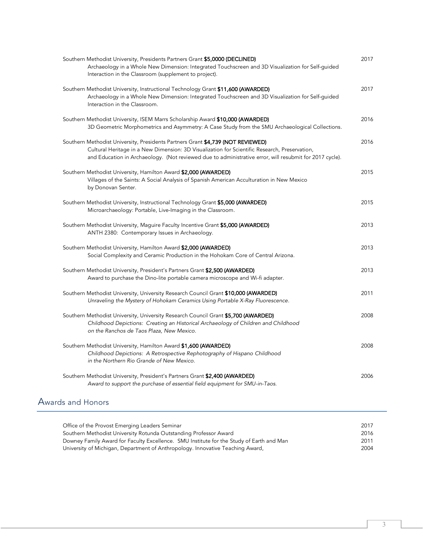| Southern Methodist University, Presidents Partners Grant \$5,0000 (DECLINED)<br>Archaeology in a Whole New Dimension: Integrated Touchscreen and 3D Visualization for Self-guided<br>Interaction in the Classroom (supplement to project).                                                  | 2017 |
|---------------------------------------------------------------------------------------------------------------------------------------------------------------------------------------------------------------------------------------------------------------------------------------------|------|
| Southern Methodist University, Instructional Technology Grant \$11,600 (AWARDED)<br>Archaeology in a Whole New Dimension: Integrated Touchscreen and 3D Visualization for Self-guided<br>Interaction in the Classroom.                                                                      | 2017 |
| Southern Methodist University, ISEM Marrs Scholarship Award \$10,000 (AWARDED)<br>3D Geometric Morphometrics and Asymmetry: A Case Study from the SMU Archaeological Collections.                                                                                                           | 2016 |
| Southern Methodist University, Presidents Partners Grant \$4,739 (NOT REVIEWED)<br>Cultural Heritage in a New Dimension: 3D Visualization for Scientific Research, Preservation,<br>and Education in Archaeology. (Not reviewed due to administrative error, will resubmit for 2017 cycle). | 2016 |
| Southern Methodist University, Hamilton Award \$2,000 (AWARDED)<br>Villages of the Saints: A Social Analysis of Spanish American Acculturation in New Mexico<br>by Donovan Senter.                                                                                                          | 2015 |
| Southern Methodist University, Instructional Technology Grant \$5,000 (AWARDED)<br>Microarchaeology: Portable, Live-Imaging in the Classroom.                                                                                                                                               | 2015 |
| Southern Methodist University, Maguire Faculty Incentive Grant \$5,000 (AWARDED)<br>ANTH 2380: Contemporary Issues in Archaeology.                                                                                                                                                          | 2013 |
| Southern Methodist University, Hamilton Award \$2,000 (AWARDED)<br>Social Complexity and Ceramic Production in the Hohokam Core of Central Arizona.                                                                                                                                         | 2013 |
| Southern Methodist University, President's Partners Grant \$2,500 (AWARDED)<br>Award to purchase the Dino-lite portable camera microscope and Wi-fi adapter.                                                                                                                                | 2013 |
| Southern Methodist University, University Research Council Grant \$10,000 (AWARDED)<br>Unraveling the Mystery of Hohokam Ceramics Using Portable X-Ray Fluorescence.                                                                                                                        | 2011 |
| Southern Methodist University, University Research Council Grant \$5,700 (AWARDED)<br>Childhood Depictions: Creating an Historical Archaeology of Children and Childhood<br>on the Ranchos de Taos Plaza, New Mexico.                                                                       | 2008 |
| Southern Methodist University, Hamilton Award \$1,600 (AWARDED)<br>Childhood Depictions: A Retrospective Rephotography of Hispano Childhood<br>in the Northern Rio Grande of New Mexico.                                                                                                    | 2008 |
| Southern Methodist University, President's Partners Grant \$2,400 (AWARDED)<br>Award to support the purchase of essential field equipment for SMU-in-Taos.                                                                                                                                  | 2006 |

## Awards and Honors

| Office of the Provost Emerging Leaders Seminar                                           | 2017 |
|------------------------------------------------------------------------------------------|------|
| Southern Methodist University Rotunda Outstanding Professor Award                        | 2016 |
| Downey Family Award for Faculty Excellence. SMU Institute for the Study of Earth and Man | 2011 |
| University of Michigan, Department of Anthropology. Innovative Teaching Award,           | 2004 |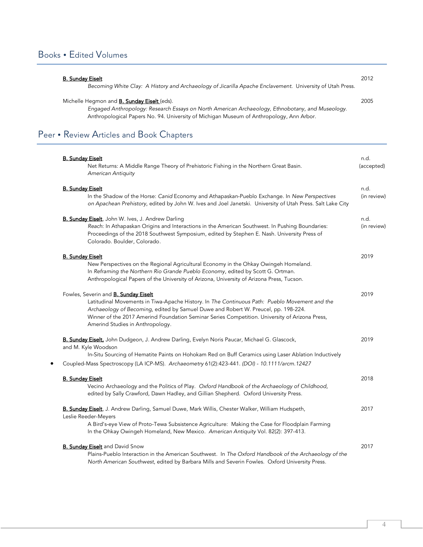## Books . Edited Volumes

| <b>B. Sunday Eiselt</b>                                                                                   | 2012 |
|-----------------------------------------------------------------------------------------------------------|------|
| Becoming White Clay: A History and Archaeology of Jicarilla Apache Enclavement. University of Utah Press. |      |
| Michelle Hegmon and <b>B. Sunday Eiselt</b> (eds).                                                        | 2005 |
| Engaged Anthropology: Research Essays on North American Archaeology, Ethnobotany, and Museology.          |      |
| Anthropological Papers No. 94. University of Michigan Museum of Anthropology, Ann Arbor.                  |      |
| Peer • Review Articles and Book Chapters                                                                  |      |
|                                                                                                           |      |

| <b>B. Sunday Eiselt</b><br>Net Returns: A Middle Range Theory of Prehistoric Fishing in the Northern Great Basin.<br>American Antiquity                                                                                                                                                                                                                                  | n.d.<br>(accepted)  |
|--------------------------------------------------------------------------------------------------------------------------------------------------------------------------------------------------------------------------------------------------------------------------------------------------------------------------------------------------------------------------|---------------------|
| <b>B. Sunday Eiselt</b><br>In the Shadow of the Horse: Canid Economy and Athapaskan-Pueblo Exchange. In New Perspectives<br>on Apachean Prehistory, edited by John W. Ives and Joel Janetski. University of Utah Press. Salt Lake City                                                                                                                                   | n.d.<br>(in review) |
| B. Sunday Eiselt, John W. Ives, J. Andrew Darling<br>Reach: In Athapaskan Origins and Interactions in the American Southwest. In Pushing Boundaries:<br>Proceedings of the 2018 Southwest Symposium, edited by Stephen E. Nash. University Press of<br>Colorado. Boulder, Colorado.                                                                                      | n.d.<br>(in review) |
| <b>B. Sunday Eiselt</b><br>New Perspectives on the Regional Agricultural Economy in the Ohkay Owingeh Homeland.<br>In Reframing the Northern Rio Grande Pueblo Economy, edited by Scott G. Ortman.<br>Anthropological Papers of the University of Arizona, University of Arizona Press, Tucson.                                                                          | 2019                |
| Fowles, Severin and <b>B. Sunday Eiselt</b><br>Latitudinal Movements in Tiwa-Apache History. In The Continuous Path: Pueblo Movement and the<br>Archaeology of Becoming, edited by Samuel Duwe and Robert W. Preucel, pp. 198-224.<br>Winner of the 2017 Amerind Foundation Seminar Series Competition. University of Arizona Press,<br>Amerind Studies in Anthropology. | 2019                |
| B. Sunday Eiselt, John Dudgeon, J. Andrew Darling, Evelyn Noris Paucar, Michael G. Glascock,<br>and M. Kyle Woodson<br>In-Situ Sourcing of Hematite Paints on Hohokam Red on Buff Ceramics using Laser Ablation Inductively<br>Coupled-Mass Spectroscopy (LA ICP-MS). Archaeometry 61(2):423-441. (DOI) - 10.1111/arcm.12427                                             | 2019                |
| <b>B. Sunday Eiselt</b><br>Vecino Archaeology and the Politics of Play. Oxford Handbook of the Archaeology of Childhood,<br>edited by Sally Crawford, Dawn Hadley, and Gillian Shepherd. Oxford University Press.                                                                                                                                                        | 2018                |
| B. Sunday Eiselt, J. Andrew Darling, Samuel Duwe, Mark Willis, Chester Walker, William Hudspeth,<br>Leslie Reeder-Meyers<br>A Bird's-eye View of Proto-Tewa Subsistence Agriculture: Making the Case for Floodplain Farming<br>In the Ohkay Owingeh Homeland, New Mexico. American Antiquity Vol. 82(2): 397-413.                                                        | 2017                |
| <b>B. Sunday Eiselt</b> and David Snow<br>Plains-Pueblo Interaction in the American Southwest. In The Oxford Handbook of the Archaeology of the<br>North American Southwest, edited by Barbara Mills and Severin Fowles. Oxford University Press.                                                                                                                        | 2017                |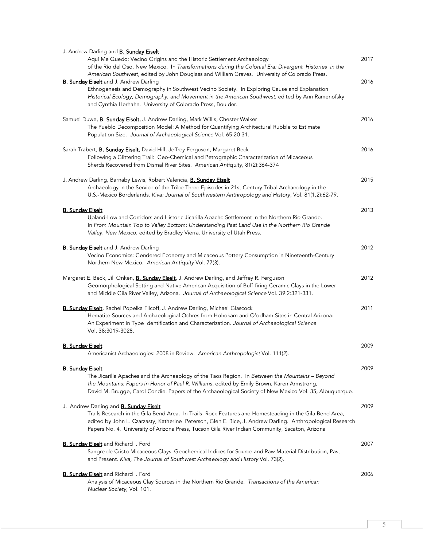| J. Andrew Darling and <b>B. Sunday Eiselt</b><br>Aquí Me Quedo: Vecino Origins and the Historic Settlement Archaeology<br>of the Río del Oso, New Mexico. In Transformations during the Colonial Era: Divergent Histories in the                                                                                         | 2017 |
|--------------------------------------------------------------------------------------------------------------------------------------------------------------------------------------------------------------------------------------------------------------------------------------------------------------------------|------|
| American Southwest, edited by John Douglass and William Graves. University of Colorado Press.                                                                                                                                                                                                                            |      |
| <b>B. Sunday Eiselt</b> and J. Andrew Darling<br>Ethnogenesis and Demography in Southwest Vecino Society. In Exploring Cause and Explanation                                                                                                                                                                             | 2016 |
| Historical Ecology, Demography, and Movement in the American Southwest, edited by Ann Ramenofsky<br>and Cynthia Herhahn. University of Colorado Press, Boulder.                                                                                                                                                          |      |
| Samuel Duwe, <b>B. Sunday Eiselt</b> , J. Andrew Darling, Mark Willis, Chester Walker                                                                                                                                                                                                                                    | 2016 |
| The Pueblo Decomposition Model: A Method for Quantifying Architectural Rubble to Estimate<br>Population Size. Journal of Archaeological Science Vol. 65:20-31.                                                                                                                                                           |      |
| Sarah Trabert, <b>B. Sunday Eiselt</b> , David Hill, Jeffrey Ferguson, Margaret Beck                                                                                                                                                                                                                                     | 2016 |
| Following a Glittering Trail: Geo-Chemical and Petrographic Characterization of Micaceous<br>Sherds Recovered from Dismal River Sites. American Antiquity, 81(2):364-374                                                                                                                                                 |      |
| J. Andrew Darling, Barnaby Lewis, Robert Valencia, <b>B. Sunday Eiselt</b>                                                                                                                                                                                                                                               | 2015 |
| Archaeology in the Service of the Tribe Three Episodes in 21st Century Tribal Archaeology in the<br>U.S.-Mexico Borderlands. Kiva: Journal of Southwestern Anthropology and History, Vol. 81(1,2):62-79.                                                                                                                 |      |
| <b>B. Sundav Eiselt</b>                                                                                                                                                                                                                                                                                                  | 2013 |
| Upland-Lowland Corridors and Historic Jicarilla Apache Settlement in the Northern Rio Grande.<br>In From Mountain Top to Valley Bottom: Understanding Past Land Use in the Northern Rio Grande<br>Valley, New Mexico, edited by Bradley Vierra. University of Utah Press.                                                |      |
| <b>B. Sunday Eiselt</b> and J. Andrew Darling                                                                                                                                                                                                                                                                            | 2012 |
| Vecino Economics: Gendered Economy and Micaceous Pottery Consumption in Nineteenth-Century<br>Northern New Mexico. American Antiquity Vol. 77(3).                                                                                                                                                                        |      |
| Margaret E. Beck, Jill Onken, <b>B. Sunday Eiselt</b> , J. Andrew Darling, and Jeffrey R. Ferguson                                                                                                                                                                                                                       | 2012 |
| Geomorphological Setting and Native American Acquisition of Buff-firing Ceramic Clays in the Lower<br>and Middle Gila River Valley, Arizona. Journal of Archaeological Science Vol. 39:2:321-331.                                                                                                                        |      |
| <b>B. Sunday Eiselt</b> , Rachel Popelka-Filcoff, J. Andrew Darling, Michael Glascock                                                                                                                                                                                                                                    | 2011 |
| Hematite Sources and Archaeological Ochres from Hohokam and O'odham Sites in Central Arizona:                                                                                                                                                                                                                            |      |
| An Experiment in Type Identification and Characterization. Journal of Archaeological Science<br>Vol. 38:3019-3028.                                                                                                                                                                                                       |      |
| <b>B. Sunday Eiselt</b>                                                                                                                                                                                                                                                                                                  | 2009 |
| Americanist Archaeologies: 2008 in Review. American Anthropologist Vol. 111(2).                                                                                                                                                                                                                                          |      |
| <b>B. Sundav Eiselt</b>                                                                                                                                                                                                                                                                                                  | 2009 |
| The Jicarilla Apaches and the Archaeology of the Taos Region. In Between the Mountains - Beyond                                                                                                                                                                                                                          |      |
| the Mountains: Papers in Honor of Paul R. Williams, edited by Emily Brown, Karen Armstrong,<br>David M. Brugge, Carol Condie. Papers of the Archaeological Society of New Mexico Vol. 35, Albuquerque.                                                                                                                   |      |
| J. Andrew Darling and <b>B. Sunday Eiselt</b>                                                                                                                                                                                                                                                                            | 2009 |
| Trails Research in the Gila Bend Area. In Trails, Rock Features and Homesteading in the Gila Bend Area,<br>edited by John L. Czarzasty, Katherine Peterson, Glen E. Rice, J. Andrew Darling. Anthropological Research<br>Papers No. 4. University of Arizona Press, Tucson Gila River Indian Community, Sacaton, Arizona |      |
| <b>B. Sunday Eiselt</b> and Richard I. Ford                                                                                                                                                                                                                                                                              | 2007 |
| Sangre de Cristo Micaceous Clays: Geochemical Indices for Source and Raw Material Distribution, Past<br>and Present. Kiva, The Journal of Southwest Archaeology and History Vol. 73(2).                                                                                                                                  |      |
| <b>B. Sunday Eiselt</b> and Richard I. Ford                                                                                                                                                                                                                                                                              | 2006 |
| Analysis of Micaceous Clay Sources in the Northern Rio Grande. Transactions of the American<br>Nuclear Society, Vol. 101.                                                                                                                                                                                                |      |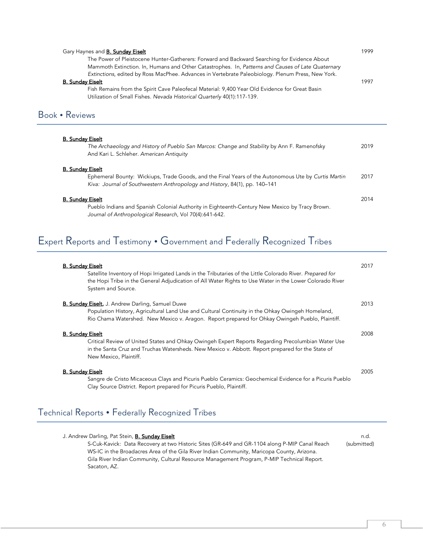| Gary Haynes and <b>B. Sunday Eiselt</b><br>The Power of Pleistocene Hunter-Gatherers: Forward and Backward Searching for Evidence About<br>Mammoth Extinction. In, Humans and Other Catastrophes. In, Patterns and Causes of Late Quaternary<br>Extinctions, edited by Ross MacPhee. Advances in Vertebrate Paleobiology. Plenum Press, New York.<br><b>B. Sunday Eiselt</b><br>Fish Remains from the Spirit Cave Paleofecal Material: 9,400 Year Old Evidence for Great Basin<br>Utilization of Small Fishes. Nevada Historical Quarterly 40(1):117-139. | 1999<br>1997 |
|-----------------------------------------------------------------------------------------------------------------------------------------------------------------------------------------------------------------------------------------------------------------------------------------------------------------------------------------------------------------------------------------------------------------------------------------------------------------------------------------------------------------------------------------------------------|--------------|
| Book • Reviews                                                                                                                                                                                                                                                                                                                                                                                                                                                                                                                                            |              |
| <b>B. Sunday Eiselt</b><br>The Archaeology and History of Pueblo San Marcos: Change and Stability by Ann F. Ramenofsky<br>And Kari L. Schleher. American Antiquity                                                                                                                                                                                                                                                                                                                                                                                        | 2019         |
| <b>B. Sunday Eiselt</b><br>Ephemeral Bounty: Wickiups, Trade Goods, and the Final Years of the Autonomous Ute by Curtis Martin<br>Kiva: Journal of Southwestern Anthropology and History, 84(1), pp. 140-141                                                                                                                                                                                                                                                                                                                                              | 2017         |
| <b>B. Sunday Eiselt</b><br>Pueblo Indians and Spanish Colonial Authority in Eighteenth-Century New Mexico by Tracy Brown.<br>Journal of Anthropological Research, Vol 70(4):641-642.                                                                                                                                                                                                                                                                                                                                                                      | 2014         |

# Expert Reports and Testimony Government and Federally Recognized Tribes

| <b>B. Sunday Eiselt</b><br>Satellite Inventory of Hopi Irrigated Lands in the Tributaries of the Little Colorado River. Prepared for<br>the Hopi Tribe in the General Adjudication of All Water Rights to Use Water in the Lower Colorado River<br>System and Source. | 2017 |
|-----------------------------------------------------------------------------------------------------------------------------------------------------------------------------------------------------------------------------------------------------------------------|------|
| <b>B. Sunday Eiselt, J. Andrew Darling, Samuel Duwe</b>                                                                                                                                                                                                               | 2013 |
| Population History, Agricultural Land Use and Cultural Continuity in the Ohkay Owingeh Homeland,                                                                                                                                                                      |      |
| Rio Chama Watershed. New Mexico v. Aragon. Report prepared for Ohkay Owingeh Pueblo, Plaintiff.                                                                                                                                                                       |      |
| <b>B. Sunday Eiselt</b>                                                                                                                                                                                                                                               | 2008 |
| Critical Review of United States and Ohkay Owingeh Expert Reports Regarding Precolumbian Water Use                                                                                                                                                                    |      |
| in the Santa Cruz and Truchas Watersheds. New Mexico v. Abbott. Report prepared for the State of                                                                                                                                                                      |      |
| New Mexico, Plaintiff.                                                                                                                                                                                                                                                |      |
| <b>B. Sunday Eiselt</b>                                                                                                                                                                                                                                               | 2005 |
| Sangre de Cristo Micaceous Clays and Picuris Pueblo Ceramics: Geochemical Evidence for a Picuris Pueblo                                                                                                                                                               |      |
|                                                                                                                                                                                                                                                                       |      |

# Technical Reports Federally Recognized Tribes

| J. Andrew Darling, Pat Stein, <b>B. Sunday Eiselt</b>                                         | n.d.        |
|-----------------------------------------------------------------------------------------------|-------------|
| S-Cuk-Kavick: Data Recovery at two Historic Sites (GR-649 and GR-1104 along P-MIP Canal Reach | (submitted) |
| WS-IC in the Broadacres Area of the Gila River Indian Community, Maricopa County, Arizona.    |             |
| Gila River Indian Community, Cultural Resource Management Program, P-MIP Technical Report.    |             |
| Sacaton, AZ.                                                                                  |             |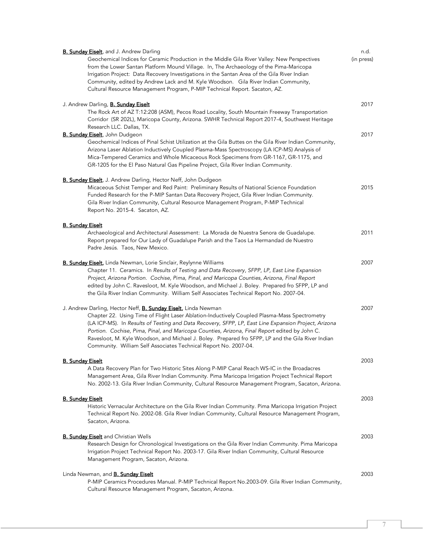| <b>B. Sunday Eiselt</b> , and J. Andrew Darling                                                                                                                                                                                                                                                                                                                                                                                                                                                                                                          | n.d.       |
|----------------------------------------------------------------------------------------------------------------------------------------------------------------------------------------------------------------------------------------------------------------------------------------------------------------------------------------------------------------------------------------------------------------------------------------------------------------------------------------------------------------------------------------------------------|------------|
| Geochemical Indices for Ceramic Production in the Middle Gila River Valley: New Perspectives<br>from the Lower Santan Platform Mound Village. In, The Archaeology of the Pima-Maricopa<br>Irrigation Project: Data Recovery Investigations in the Santan Area of the Gila River Indian<br>Community, edited by Andrew Lack and M. Kyle Woodson. Gila River Indian Community,<br>Cultural Resource Management Program, P-MIP Technical Report. Sacaton, AZ.                                                                                               | (in press) |
| J. Andrew Darling, <b>B. Sunday Eiselt</b>                                                                                                                                                                                                                                                                                                                                                                                                                                                                                                               | 2017       |
| The Rock Art of AZ T:12:208 (ASM), Pecos Road Locality, South Mountain Freeway Transportation<br>Corridor (SR 202L), Maricopa County, Arizona. SWHR Technical Report 2017-4, Southwest Heritage<br>Research LLC. Dallas, TX.                                                                                                                                                                                                                                                                                                                             |            |
| <b>B. Sunday Eiselt</b> , John Dudgeon                                                                                                                                                                                                                                                                                                                                                                                                                                                                                                                   | 2017       |
| Geochemical Indices of Pinal Schist Utilization at the Gila Buttes on the Gila River Indian Community,<br>Arizona Laser Ablation Inductively Coupled Plasma-Mass Spectroscopy (LA ICP-MS) Analysis of<br>Mica-Tempered Ceramics and Whole Micaceous Rock Specimens from GR-1167, GR-1175, and<br>GR-1205 for the El Paso Natural Gas Pipeline Project, Gila River Indian Community.                                                                                                                                                                      |            |
| B. Sunday Eiselt, J. Andrew Darling, Hector Neff, John Dudgeon<br>Micaceous Schist Temper and Red Paint: Preliminary Results of National Science Foundation                                                                                                                                                                                                                                                                                                                                                                                              | 2015       |
| Funded Research for the P-MIP Santan Data Recovery Project, Gila River Indian Community.<br>Gila River Indian Community, Cultural Resource Management Program, P-MIP Technical<br>Report No. 2015-4. Sacaton, AZ.                                                                                                                                                                                                                                                                                                                                        |            |
| <b>B. Sunday Eiselt</b>                                                                                                                                                                                                                                                                                                                                                                                                                                                                                                                                  |            |
| Archaeological and Architectural Assessment: La Morada de Nuestra Senora de Guadalupe.<br>Report prepared for Our Lady of Guadalupe Parish and the Taos La Hermandad de Nuestro<br>Padre Jesús. Taos, New Mexico.                                                                                                                                                                                                                                                                                                                                        | 2011       |
| <b>B. Sunday Eiselt,</b> Linda Newman, Lorie Sinclair, Reylynne Williams<br>Chapter 11. Ceramics. In Results of Testing and Data Recovery, SFPP, LP, East Line Expansion<br>Project, Arizona Portion. Cochise, Pima, Pinal, and Maricopa Counties, Arizona, Final Report<br>edited by John C. Ravesloot, M. Kyle Woodson, and Michael J. Boley. Prepared fro SFPP, LP and<br>the Gila River Indian Community. William Self Associates Technical Report No. 2007-04.                                                                                      | 2007       |
| J. Andrew Darling, Hector Neff, <b>B. Sunday Eiselt</b> , Linda Newman<br>Chapter 22. Using Time of Flight Laser Ablation-Inductively Coupled Plasma-Mass Spectrometry<br>(LA ICP-MS). In Results of Testing and Data Recovery, SFPP, LP, East Line Expansion Project, Arizona<br>Portion. Cochise, Pima, Pinal, and Maricopa Counties, Arizona, Final Report edited by John C.<br>Ravesloot, M. Kyle Woodson, and Michael J. Boley. Prepared fro SFPP, LP and the Gila River Indian<br>Community. William Self Associates Technical Report No. 2007-04. | 2007       |
| <b>B. Sunday Eiselt</b>                                                                                                                                                                                                                                                                                                                                                                                                                                                                                                                                  | 2003       |
| A Data Recovery Plan for Two Historic Sites Along P-MIP Canal Reach WS-IC in the Broadacres<br>Management Area, Gila River Indian Community. Pima Maricopa Irrigation Project Technical Report<br>No. 2002-13. Gila River Indian Community, Cultural Resource Management Program, Sacaton, Arizona.                                                                                                                                                                                                                                                      |            |
| <b>B. Sunday Eiselt</b>                                                                                                                                                                                                                                                                                                                                                                                                                                                                                                                                  | 2003       |
| Historic Vernacular Architecture on the Gila River Indian Community. Pima Maricopa Irrigation Project<br>Technical Report No. 2002-08. Gila River Indian Community, Cultural Resource Management Program,<br>Sacaton, Arizona.                                                                                                                                                                                                                                                                                                                           |            |
| <b>B. Sunday Eiselt</b> and Christian Wells                                                                                                                                                                                                                                                                                                                                                                                                                                                                                                              | 2003       |
| Research Design for Chronological Investigations on the Gila River Indian Community. Pima Maricopa<br>Irrigation Project Technical Report No. 2003-17. Gila River Indian Community, Cultural Resource<br>Management Program, Sacaton, Arizona.                                                                                                                                                                                                                                                                                                           |            |
| Linda Newman, and <b>B. Sunday Eiselt</b>                                                                                                                                                                                                                                                                                                                                                                                                                                                                                                                | 2003       |
| P-MIP Ceramics Procedures Manual. P-MIP Technical Report No.2003-09. Gila River Indian Community,<br>Cultural Resource Management Program, Sacaton, Arizona.                                                                                                                                                                                                                                                                                                                                                                                             |            |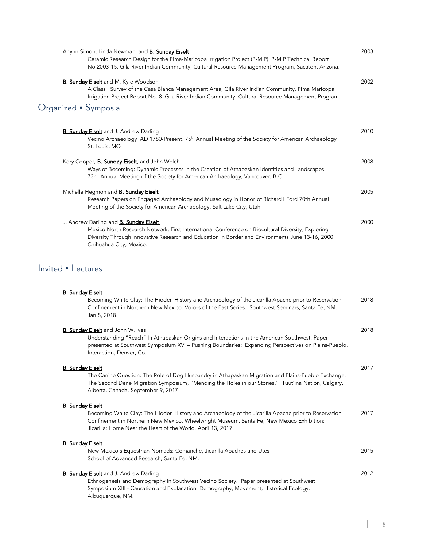| Arlynn Simon, Linda Newman, and <b>B. Sunday Eiselt</b><br>Ceramic Research Design for the Pima-Maricopa Irrigation Project (P-MIP). P-MIP Technical Report<br>No.2003-15. Gila River Indian Community, Cultural Resource Management Program, Sacaton, Arizona.                   | 2003 |
|-----------------------------------------------------------------------------------------------------------------------------------------------------------------------------------------------------------------------------------------------------------------------------------|------|
| <b>B. Sunday Eiselt</b> and M. Kyle Woodson<br>A Class I Survey of the Casa Blanca Management Area, Gila River Indian Community. Pima Maricopa<br>Irrigation Project Report No. 8. Gila River Indian Community, Cultural Resource Management Program.                             | 2002 |
| Organized • Symposia                                                                                                                                                                                                                                                              |      |
| <b>B. Sunday Eiselt</b> and J. Andrew Darling<br>Vecino Archaeology AD 1780-Present. 75 <sup>th</sup> Annual Meeting of the Society for American Archaeology<br>St. Louis, MO                                                                                                     | 2010 |
| Kory Cooper, <b>B. Sunday Eiselt</b> , and John Welch<br>Ways of Becoming: Dynamic Processes in the Creation of Athapaskan Identities and Landscapes.<br>73rd Annual Meeting of the Society for American Archaeology, Vancouver, B.C.                                             | 2008 |
| Michelle Hegmon and <b>B. Sunday Eiselt</b><br>Research Papers on Engaged Archaeology and Museology in Honor of Richard I Ford 70th Annual<br>Meeting of the Society for American Archaeology, Salt Lake City, Utah.                                                              | 2005 |
| J. Andrew Darling and <b>B. Sunday Eiselt</b><br>Mexico North Research Network, First International Conference on Biocultural Diversity, Exploring<br>Diversity Through Innovative Research and Education in Borderland Environments June 13-16, 2000.<br>Chihuahua City, Mexico. | 2000 |
| Invited • Lectures                                                                                                                                                                                                                                                                |      |
| <b>B. Sunday Eiselt</b><br>Becoming White Clay: The Hidden History and Archaeology of the Jicarilla Apache prior to Reservation<br>Confinement in Northern New Mexico. Voices of the Past Series. Southwest Seminars, Santa Fe, NM.<br>Jan 8, 2018.                               | 2018 |
| <b>B. Sunday Eiselt</b> and John W. Ives<br>Understanding "Reach" In Athapaskan Origins and Interactions in the American Southwest. Paper<br>presented at Southwest Symposium XVI - Pushing Boundaries: Expanding Perspectives on Plains-Pueblo.<br>Interaction, Denver, Co.      | 2018 |

**B. Sunday Eiselt** 2017

The Canine Question: The Role of Dog Husbandry in Athapaskan Migration and Plains-Pueblo Exchange. The Second Dene Migration Symposium, "Mending the Holes in our Stories." Tuut'ina Nation, Calgary, Alberta, Canada. September 9, 2017

#### B. Sunday Eiselt

Becoming White Clay: The Hidden History and Archaeology of the Jicarilla Apache prior to Reservation 2017 Confinement in Northern New Mexico. Wheelwright Museum. Santa Fe, New Mexico Exhibition: Jicarilla: Home Near the Heart of the World. April 13, 2017.

B. Sunday Eiselt New Mexico's Equestrian Nomads: Comanche, Jicarilla Apaches and Utes 2015 School of Advanced Research, Santa Fe, NM.

**B. Sunday Eiselt** and J. Andrew Darling 2012 Ethnogenesis and Demography in Southwest Vecino Society. Paper presented at Southwest Symposium XIII - Causation and Explanation: Demography, Movement, Historical Ecology. Albuquerque, NM.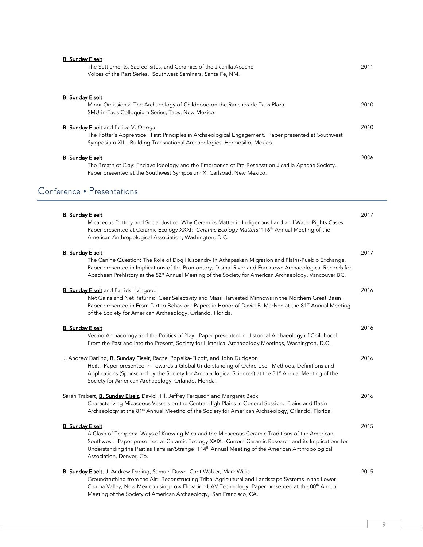| The Settlements, Sacred Sites, and Ceramics of the Jicarilla Apache<br>2011<br>Voices of the Past Series. Southwest Seminars, Santa Fe, NM.                                                                                               |  |
|-------------------------------------------------------------------------------------------------------------------------------------------------------------------------------------------------------------------------------------------|--|
| <b>B. Sunday Eiselt</b>                                                                                                                                                                                                                   |  |
| Minor Omissions: The Archaeology of Childhood on the Ranchos de Taos Plaza<br>2010<br>SMU-in-Taos Colloquium Series, Taos, New Mexico.                                                                                                    |  |
| <b>B. Sunday Eiselt</b> and Felipe V. Ortega<br>2010<br>The Potter's Apprentice: First Principles in Archaeological Engagement. Paper presented at Southwest<br>Symposium XII - Building Transnational Archaeologies. Hermosillo, Mexico. |  |
| <b>B. Sunday Eiselt</b><br>2006<br>The Breath of Clay: Enclave Ideology and the Emergence of Pre-Reservation Jicarilla Apache Society.                                                                                                    |  |
| Paper presented at the Southwest Symposium X, Carlsbad, New Mexico.<br>Conference • Presentations                                                                                                                                         |  |

| <b>B. Sunday Eiselt</b>                                                                                                                                                                                                                                                                                                                            | 2017 |
|----------------------------------------------------------------------------------------------------------------------------------------------------------------------------------------------------------------------------------------------------------------------------------------------------------------------------------------------------|------|
| Micaceous Pottery and Social Justice: Why Ceramics Matter in Indigenous Land and Water Rights Cases.<br>Paper presented at Ceramic Ecology XXXI: Ceramic Ecology Matters! 116 <sup>th</sup> Annual Meeting of the<br>American Anthropological Association, Washington, D.C.                                                                        |      |
| <b>B. Sunday Eiselt</b>                                                                                                                                                                                                                                                                                                                            | 2017 |
| The Canine Question: The Role of Dog Husbandry in Athapaskan Migration and Plains-Pueblo Exchange.<br>Paper presented in Implications of the Promontory, Dismal River and Franktown Archaeological Records for<br>Apachean Prehistory at the 82 <sup>st</sup> Annual Meeting of the Society for American Archaeology, Vancouver BC.                |      |
| <b>B. Sunday Eiselt</b> and Patrick Livingood                                                                                                                                                                                                                                                                                                      | 2016 |
| Net Gains and Net Returns: Gear Selectivity and Mass Harvested Minnows in the Northern Great Basin.<br>Paper presented in From Dirt to Behavior: Papers in Honor of David B. Madsen at the 81 <sup>st</sup> Annual Meeting<br>of the Society for American Archaeology, Orlando, Florida.                                                           |      |
| <b>B. Sunday Eiselt</b>                                                                                                                                                                                                                                                                                                                            | 2016 |
| Vecino Archaeology and the Politics of Play. Paper presented in Historical Archaeology of Childhood:<br>From the Past and into the Present, Society for Historical Archaeology Meetings, Washington, D.C.                                                                                                                                          |      |
| J. Andrew Darling, <b>B. Sunday Eiselt</b> , Rachel Popelka-Filcoff, and John Dudgeon                                                                                                                                                                                                                                                              | 2016 |
| Hedt. Paper presented in Towards a Global Understanding of Ochre Use: Methods, Definitions and<br>Applications (Sponsored by the Society for Archaeological Sciences) at the 81 <sup>st</sup> Annual Meeting of the<br>Society for American Archaeology, Orlando, Florida.                                                                         |      |
| Sarah Trabert, <b>B. Sunday Eiselt</b> , David Hill, Jeffrey Ferguson and Margaret Beck<br>Characterizing Micaceous Vessels on the Central High Plains in General Session: Plains and Basin<br>Archaeology at the 81 <sup>st</sup> Annual Meeting of the Society for American Archaeology, Orlando, Florida.                                       | 2016 |
| <b>B. Sunday Eiselt</b>                                                                                                                                                                                                                                                                                                                            | 2015 |
| A Clash of Tempers: Ways of Knowing Mica and the Micaceous Ceramic Traditions of the American<br>Southwest. Paper presented at Ceramic Ecology XXIX: Current Ceramic Research and its Implications for<br>Understanding the Past as Familiar/Strange, 114 <sup>th</sup> Annual Meeting of the American Anthropological<br>Association, Denver, Co. |      |
| B. Sunday Eiselt, J. Andrew Darling, Samuel Duwe, Chet Walker, Mark Willis                                                                                                                                                                                                                                                                         | 2015 |
| Groundtruthing from the Air: Reconstructing Tribal Agricultural and Landscape Systems in the Lower<br>Chama Valley, New Mexico using Low Elevation UAV Technology. Paper presented at the 80 <sup>th</sup> Annual<br>Meeting of the Society of American Archaeology, San Francisco, CA.                                                            |      |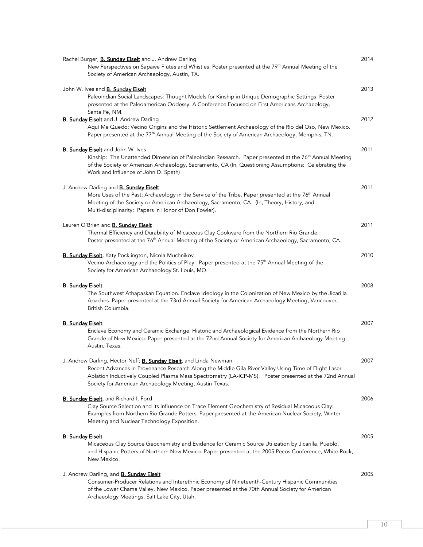| Rachel Burger, <b>B. Sundav Eiselt</b> and J. Andrew Darling<br>New Perspectives on Sapawe Flutes and Whistles. Poster presented at the 79 <sup>th</sup> Annual Meeting of the                                                                                                                                                                          | 2014 |
|---------------------------------------------------------------------------------------------------------------------------------------------------------------------------------------------------------------------------------------------------------------------------------------------------------------------------------------------------------|------|
| Society of American Archaeology, Austin, TX.                                                                                                                                                                                                                                                                                                            |      |
| John W. Ives and <b>B. Sunday Eiselt</b><br>Paleoindian Social Landscapes: Thought Models for Kinship in Unique Demographic Settings. Poster<br>presented at the Paleoamerican Oddessy: A Conference Focused on First Americans Archaeology,<br>Santa Fe, NM.                                                                                           | 2013 |
| <b>B. Sunday Eiselt</b> and J. Andrew Darling<br>Aquí Me Quedo: Vecino Origins and the Historic Settlement Archaeology of the Río del Oso, New Mexico.<br>Paper presented at the 77 <sup>th</sup> Annual Meeting of the Society of American Archaeology, Memphis, TN.                                                                                   | 2012 |
| <b>B. Sunday Eiselt</b> and John W. Ives<br>Kinship: The Unattended Dimension of Paleoindian Research. Paper presented at the 76 <sup>th</sup> Annual Meeting<br>of the Society or American Archaeology, Sacramento, CA (In, Questioning Assumptions: Celebrating the<br>Work and Influence of John D. Speth)                                           | 2011 |
| J. Andrew Darling and <b>B. Sunday Eiselt</b><br>More Uses of the Past: Archaeology in the Service of the Tribe. Paper presented at the 76 <sup>th</sup> Annual<br>Meeting of the Society or American Archaeology, Sacramento, CA. (In, Theory, History, and<br>Multi-disciplinarity: Papers in Honor of Don Fowler).                                   | 2011 |
| Lauren O'Brien and <b>B. Sunday Eiselt</b><br>Thermal Efficiency and Durability of Micaceous Clay Cookware from the Northern Rio Grande.<br>Poster presented at the 76 <sup>th</sup> Annual Meeting of the Society or American Archaeology, Sacramento, CA.                                                                                             | 2011 |
| B. Sunday Eiselt, Katy Pocklington, Nicola Muchnikov<br>Vecino Archaeology and the Politics of Play. Paper presented at the 75 <sup>th</sup> Annual Meeting of the<br>Society for American Archaeology St. Louis, MO.                                                                                                                                   | 2010 |
| <u>B. Sunday Eiselt</u><br>The Southwest Athapaskan Equation. Enclave Ideology in the Colonization of New Mexico by the Jicarilla<br>Apaches. Paper presented at the 73rd Annual Society for American Archaeology Meeting, Vancouver,<br>British Columbia.                                                                                              | 2008 |
| <b>B. Sunday Eiselt</b><br>Enclave Economy and Ceramic Exchange: Historic and Archaeological Evidence from the Northern Rio<br>Grande of New Mexico. Paper presented at the 72nd Annual Society for American Archaeology Meeting.<br>Austin, Texas.                                                                                                     | 2007 |
| J. Andrew Darling, Hector Neff; <b>B. Sunday Eiselt</b> , and Linda Newman<br>Recent Advances in Provenance Research Along the Middle Gila River Valley Using Time of Flight Laser<br>Ablation Inductively Coupled Plasma Mass Spectrometry (LA-ICP-MS). Poster presented at the 72nd Annual<br>Society for American Archaeology Meeting, Austin Texas. | 2007 |
| <b>B. Sunday Eiselt</b> , and Richard I. Ford<br>Clay Source Selection and its Influence on Trace Element Geochemistry of Residual Micaceous Clay:<br>Examples from Northern Rio Grande Potters. Paper presented at the American Nuclear Society, Winter<br>Meeting and Nuclear Technology Exposition.                                                  | 2006 |
| <b>B. Sunday Eiselt</b><br>Micaceous Clay Source Geochemistry and Evidence for Ceramic Source Utilization by Jicarilla, Pueblo,<br>and Hispanic Potters of Northern New Mexico. Paper presented at the 2005 Pecos Conference, White Rock,<br>New Mexico.                                                                                                | 2005 |
| J. Andrew Darling, and <b>B. Sunday Eiselt</b><br>Consumer-Producer Relations and Interethnic Economy of Nineteenth-Century Hispanic Communities<br>of the Lower Chama Valley, New Mexico. Paper presented at the 70th Annual Society for American<br>Archaeology Meetings, Salt Lake City, Utah.                                                       | 2005 |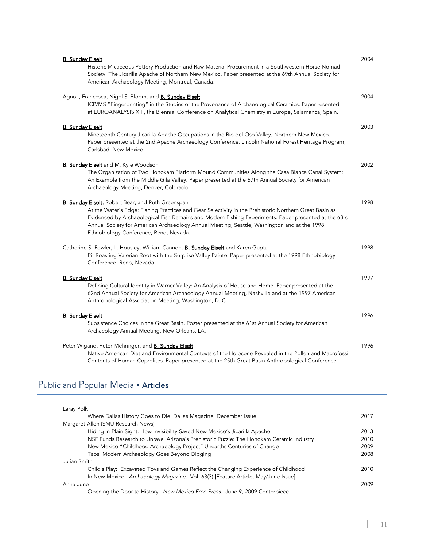| <b>B. Sunday Eiselt</b>                                                                                | 2004 |
|--------------------------------------------------------------------------------------------------------|------|
| Historic Micaceous Pottery Production and Raw Material Procurement in a Southwestern Horse Nomad       |      |
| Society: The Jicarilla Apache of Northern New Mexico. Paper presented at the 69th Annual Society for   |      |
| American Archaeology Meeting, Montreal, Canada.                                                        |      |
| Agnoli, Francesca, Nigel S. Bloom, and <b>B. Sunday Eiselt</b>                                         | 2004 |
| ICP/MS "Fingerprinting" in the Studies of the Provenance of Archaeological Ceramics. Paper resented    |      |
| at EUROANALYSIS XIII, the Biennial Conference on Analytical Chemistry in Europe, Salamanca, Spain.     |      |
| <b>B. Sunday Eiselt</b>                                                                                | 2003 |
| Nineteenth Century Jicarilla Apache Occupations in the Rio del Oso Valley, Northern New Mexico.        |      |
| Paper presented at the 2nd Apache Archaeology Conference. Lincoln National Forest Heritage Program,    |      |
| Carlsbad, New Mexico.                                                                                  |      |
| <b>B. Sunday Eiselt</b> and M. Kyle Woodson                                                            | 2002 |
| The Organization of Two Hohokam Platform Mound Communities Along the Casa Blanca Canal System:         |      |
| An Example from the Middle Gila Valley. Paper presented at the 67th Annual Society for American        |      |
| Archaeology Meeting, Denver, Colorado.                                                                 |      |
| B. Sunday Eiselt, Robert Bear, and Ruth Greenspan                                                      | 1998 |
| At the Water's Edge: Fishing Practices and Gear Selectivity in the Prehistoric Northern Great Basin as |      |
| Evidenced by Archaeological Fish Remains and Modern Fishing Experiments. Paper presented at the 63rd   |      |
| Annual Society for American Archaeology Annual Meeting, Seattle, Washington and at the 1998            |      |
| Ethnobiology Conference, Reno, Nevada.                                                                 |      |
| Catherine S. Fowler, L. Housley, William Cannon, <b>B. Sunday Eiselt</b> and Karen Gupta               | 1998 |
| Pit Roasting Valerian Root with the Surprise Valley Paiute. Paper presented at the 1998 Ethnobiology   |      |
| Conference. Reno, Nevada.                                                                              |      |
| <b>B. Sunday Eiselt</b>                                                                                | 1997 |
| Defining Cultural Identity in Warner Valley: An Analysis of House and Home. Paper presented at the     |      |
| 62nd Annual Society for American Archaeology Annual Meeting, Nashville and at the 1997 American        |      |
| Anthropological Association Meeting, Washington, D. C.                                                 |      |
| <b>B. Sunday Eiselt</b>                                                                                | 1996 |
| Subsistence Choices in the Great Basin. Poster presented at the 61st Annual Society for American       |      |
| Archaeology Annual Meeting. New Orleans, LA.                                                           |      |
| Peter Wigand, Peter Mehringer, and <b>B. Sunday Eiselt</b>                                             | 1996 |
| Native American Diet and Environmental Contexts of the Holocene Revealed in the Pollen and Macrofossil |      |
| Contents of Human Coprolites. Paper presented at the 25th Great Basin Anthropological Conference.      |      |

# Public and Popular Media • Articles

| Laray Polk                                                                               |      |
|------------------------------------------------------------------------------------------|------|
| Where Dallas History Goes to Die. Dallas Magazine. December Issue                        | 2017 |
| Margaret Allen (SMU Research News)                                                       |      |
| Hiding in Plain Sight: How Invisibility Saved New Mexico's Jicarilla Apache.             | 2013 |
| NSF Funds Research to Unravel Arizona's Prehistoric Puzzle: The Hohokam Ceramic Industry | 2010 |
| New Mexico "Childhood Archaeology Project" Unearths Centuries of Change                  | 2009 |
| Taos: Modern Archaeology Goes Beyond Digging                                             | 2008 |
| Julian Smith                                                                             |      |
| Child's Play: Excavated Toys and Games Reflect the Changing Experience of Childhood      | 2010 |
| In New Mexico. Archaeology Magazine. Vol. 63(3) [Feature Article, May/June Issue]        |      |
| Anna June                                                                                | 2009 |
| Opening the Door to History. New Mexico Free Press. June 9, 2009 Centerpiece             |      |
|                                                                                          |      |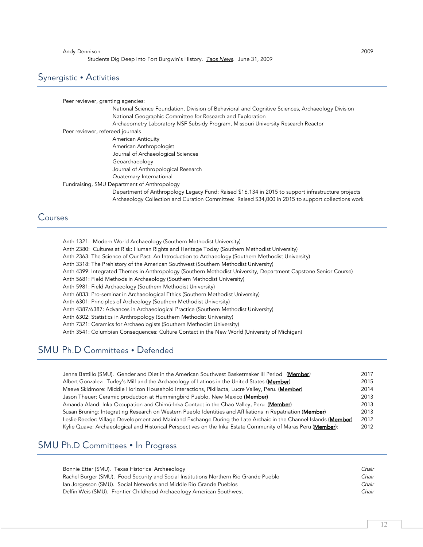#### Andy Dennison 2009

Students Dig Deep into Fort Burgwin's History. *Taos News*. June 31, 2009

## Synergistic • Activities

Peer reviewer, granting agencies: National Science Foundation, Division of Behavioral and Cognitive Sciences, Archaeology Division National Geographic Committee for Research and Exploration Archaeometry Laboratory NSF Subsidy Program, Missouri University Research Reactor Peer reviewer, refereed journals American Antiquity American Anthropologist Journal of Archaeological Sciences Geoarchaeology Journal of Anthropological Research Quaternary International Fundraising, SMU Department of Anthropology Department of Anthropology Legacy Fund: Raised \$16,134 in 2015 to support infrastructure projects Archaeology Collection and Curation Committee: Raised \$34,000 in 2015 to support collections work

## Courses

Anth 1321: Modern World Archaeology (Southern Methodist University) Anth 2380: Cultures at Risk: Human Rights and Heritage Today (Southern Methodist University) Anth 2363: The Science of Our Past: An Introduction to Archaeology (Southern Methodist University) Anth 3318: The Prehistory of the American Southwest (Southern Methodist University) Anth 4399: Integrated Themes in Anthropology (Southern Methodist University, Department Capstone Senior Course) Anth 5681: Field Methods in Archaeology (Southern Methodist University) Anth 5981: Field Archaeology (Southern Methodist University) Anth 6033: Pro-seminar in Archaeological Ethics (Southern Methodist University) Anth 6301: Principles of Archeology (Southern Methodist University) Anth 4387/6387: Advances in Archaeological Practice (Southern Methodist University) Anth 6302: Statistics in Anthropology (Southern Methodist University) Anth 7321: Ceramics for Archaeologists (Southern Methodist University) Anth 3541: Columbian Consequences: Culture Contact in the New World (University of Michigan)

## SMU Ph.D Committees . Defended

| Jenna Battillo (SMU). Gender and Diet in the American Southwest Basketmaker III Period (Member)                  | 2017 |
|------------------------------------------------------------------------------------------------------------------|------|
| Albert Gonzalez: Turley's Mill and the Archaeology of Latinos in the United States (Member)                      | 2015 |
| Maeve Skidmore: Middle Horizon Household Interactions, Pikillacta, Lucre Valley, Peru. (Member)                  | 2014 |
| Jason Theuer: Ceramic production at Hummingbird Pueblo, New Mexico (Member)                                      | 2013 |
| Amanda Aland: Inka Occupation and Chimú-Inka Contact in the Chao Valley, Peru (Member)                           | 2013 |
| Susan Bruning: Integrating Research on Western Pueblo Identities and Affiliations in Repatriation (Member)       | 2013 |
| Leslie Reeder: Village Development and Mainland Exchange During the Late Archaic in the Channel Islands (Member) | 2012 |
| Kylie Quave: Archaeological and Historical Perspectives on the Inka Estate Community of Maras Peru (Member):     | 2012 |

## SMU Ph.D Committees • In Progress

| Bonnie Etter (SMU). Texas Historical Archaeology                                      | Chair |
|---------------------------------------------------------------------------------------|-------|
| Rachel Burger (SMU). Food Security and Social Institutions Northern Rio Grande Pueblo | Chair |
| Ian Jorgesson (SMU). Social Networks and Middle Rio Grande Pueblos                    | Chair |
| Delfin Weis (SMU). Frontier Childhood Archaeology American Southwest                  | Chair |